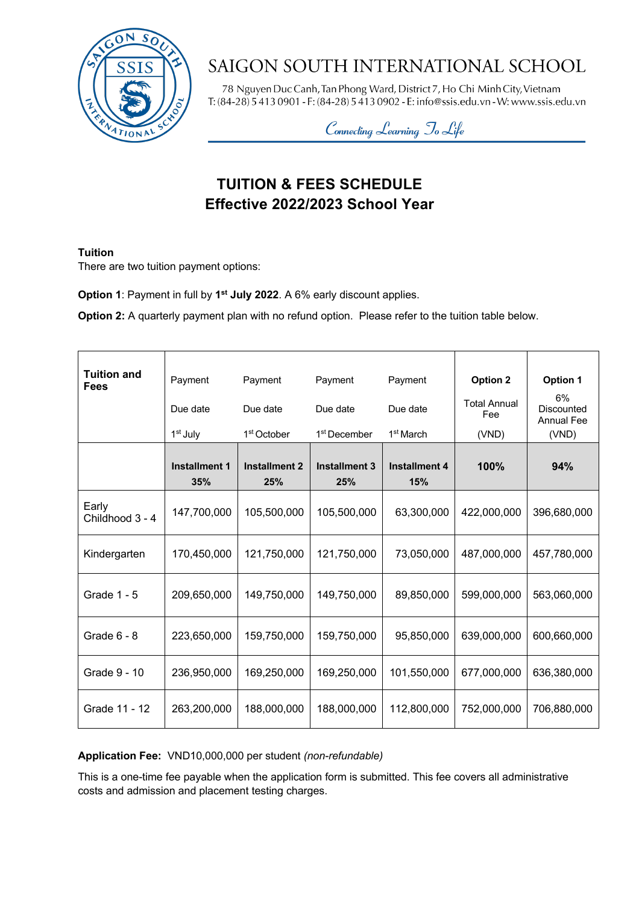

# SAIGON SOUTH INTERNATIONAL SCHOOL

78 Nguyen Duc Canh, Tan Phong Ward, District 7, Ho Chi Minh City, Vietnam T:  $(84-28)$  5 413 0901 - F:  $(84-28)$  5 413 0902 - E: info@ssis.edu.vn - W: www.ssis.edu.vn

Connecting Learning To Life

# **TUITION & FEES SCHEDULE Effective 2022/2023 School Year**

#### **Tuition**

There are two tuition payment options:

**Option 1**: Payment in full by **1st July 2022**. A 6% early discount applies.

**Option 2:** A quarterly payment plan with no refund option. Please refer to the tuition table below.

| <b>Tuition and</b><br><b>Fees</b> | Payment              | Payment                     | Payment                     | Payment                     | <b>Option 2</b>            | <b>Option 1</b>                              |
|-----------------------------------|----------------------|-----------------------------|-----------------------------|-----------------------------|----------------------------|----------------------------------------------|
|                                   | Due date             | Due date                    | Due date                    | Due date                    | <b>Total Annual</b><br>Fee | 6%<br><b>Discounted</b><br><b>Annual Fee</b> |
|                                   | 1 <sup>st</sup> July | 1 <sup>st</sup> October     | 1 <sup>st</sup> December    | 1 <sup>st</sup> March       | (VND)                      | (VND)                                        |
|                                   | Installment 1<br>35% | <b>Installment 2</b><br>25% | <b>Installment 3</b><br>25% | <b>Installment 4</b><br>15% | 100%                       | 94%                                          |
| Early<br>Childhood 3 - 4          | 147,700,000          | 105,500,000                 | 105,500,000                 | 63,300,000                  | 422,000,000                | 396,680,000                                  |
| Kindergarten                      | 170,450,000          | 121,750,000                 | 121,750,000                 | 73,050,000                  | 487,000,000                | 457,780,000                                  |
| Grade 1 - 5                       | 209,650,000          | 149,750,000                 | 149,750,000                 | 89,850,000                  | 599,000,000                | 563,060,000                                  |
| Grade $6 - 8$                     | 223,650,000          | 159,750,000                 | 159,750,000                 | 95,850,000                  | 639,000,000                | 600,660,000                                  |
| Grade 9 - 10                      | 236,950,000          | 169,250,000                 | 169,250,000                 | 101,550,000                 | 677,000,000                | 636,380,000                                  |
| Grade 11 - 12                     | 263,200,000          | 188,000,000                 | 188,000,000                 | 112,800,000                 | 752,000,000                | 706,880,000                                  |

## **Application Fee:** VND10,000,000 per student *(non-refundable)*

This is a one-time fee payable when the application form is submitted. This fee covers all administrative costs and admission and placement testing charges.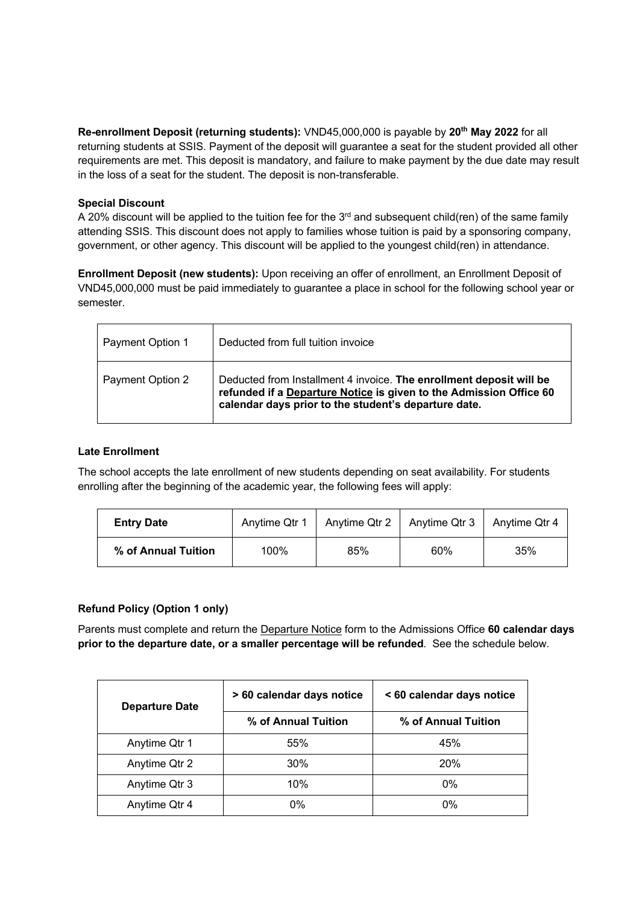**Re-enrollment Deposit (returning students):** VND45,000,000 is payable by **20th May 2022** for all returning students at SSIS. Payment of the deposit will guarantee a seat for the student provided all other requirements are met. This deposit is mandatory, and failure to make payment by the due date may result in the loss of a seat for the student. The deposit is non-transferable.

#### **Special Discount**

A 20% discount will be applied to the tuition fee for the 3<sup>rd</sup> and subsequent child(ren) of the same family attending SSIS. This discount does not apply to families whose tuition is paid by a sponsoring company, government, or other agency. This discount will be applied to the youngest child(ren) in attendance.

**Enrollment Deposit (new students):** Upon receiving an offer of enrollment, an Enrollment Deposit of VND45,000,000 must be paid immediately to guarantee a place in school for the following school year or semester.

| Payment Option 1 | Deducted from full tuition invoice                                                                                                                                                                |
|------------------|---------------------------------------------------------------------------------------------------------------------------------------------------------------------------------------------------|
| Payment Option 2 | Deducted from Installment 4 invoice. The enrollment deposit will be<br>refunded if a Departure Notice is given to the Admission Office 60<br>calendar days prior to the student's departure date. |

#### **Late Enrollment**

The school accepts the late enrollment of new students depending on seat availability. For students enrolling after the beginning of the academic year, the following fees will apply:

| <b>Entry Date</b>   | Anytime Qtr 1 | Anytime Qtr 2 | Anytime Qtr 3 | Anytime Qtr 4 |
|---------------------|---------------|---------------|---------------|---------------|
| % of Annual Tuition | 100%          | 85%           | 60%           | 35%           |

## **Refund Policy (Option 1 only)**

Parents must complete and return the Departure Notice form to the Admissions Office **60 calendar days prior to the departure date, or a smaller percentage will be refunded**. See the schedule below.

| <b>Departure Date</b> | > 60 calendar days notice | < 60 calendar days notice |  |
|-----------------------|---------------------------|---------------------------|--|
|                       | % of Annual Tuition       | % of Annual Tuition       |  |
| Anytime Qtr 1         | 55%                       | 45%                       |  |
| Anytime Qtr 2         | $30\%$                    | 20%                       |  |
| Anytime Qtr 3         | 10%                       | $0\%$                     |  |
| Anytime Qtr 4         | $0\%$                     | $0\%$                     |  |